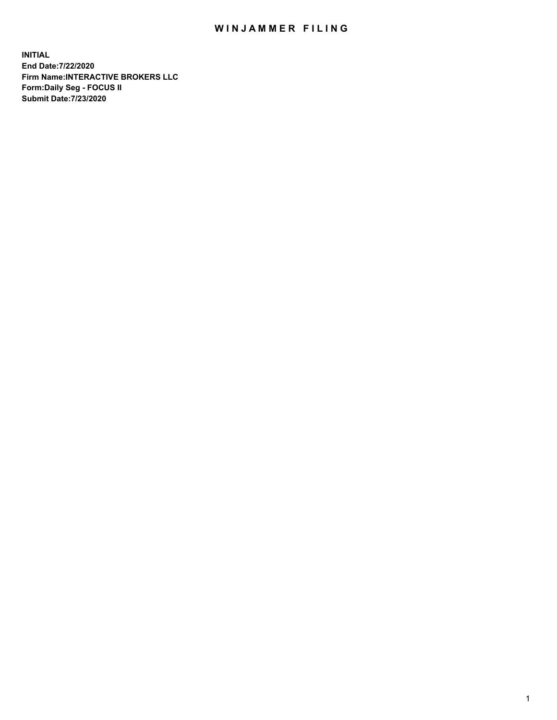## WIN JAMMER FILING

**INITIAL End Date:7/22/2020 Firm Name:INTERACTIVE BROKERS LLC Form:Daily Seg - FOCUS II Submit Date:7/23/2020**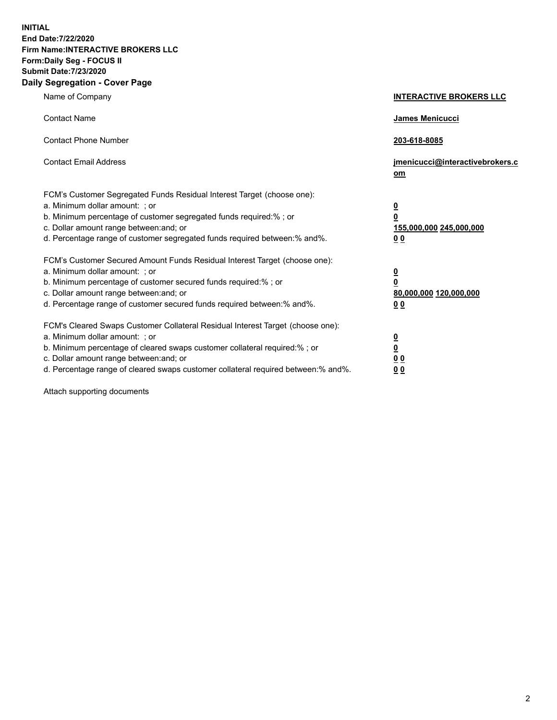**INITIAL End Date:7/22/2020 Firm Name:INTERACTIVE BROKERS LLC Form:Daily Seg - FOCUS II Submit Date:7/23/2020 Daily Segregation - Cover Page**

| Name of Company                                                                                                                                                                                                                                                                                                                | <b>INTERACTIVE BROKERS LLC</b>                                                     |
|--------------------------------------------------------------------------------------------------------------------------------------------------------------------------------------------------------------------------------------------------------------------------------------------------------------------------------|------------------------------------------------------------------------------------|
| <b>Contact Name</b>                                                                                                                                                                                                                                                                                                            | James Menicucci                                                                    |
| <b>Contact Phone Number</b>                                                                                                                                                                                                                                                                                                    | 203-618-8085                                                                       |
| <b>Contact Email Address</b>                                                                                                                                                                                                                                                                                                   | jmenicucci@interactivebrokers.c<br>om                                              |
| FCM's Customer Segregated Funds Residual Interest Target (choose one):<br>a. Minimum dollar amount: ; or<br>b. Minimum percentage of customer segregated funds required:% ; or<br>c. Dollar amount range between: and; or<br>d. Percentage range of customer segregated funds required between:% and%.                         | $\overline{\mathbf{0}}$<br>$\pmb{0}$<br>155,000,000 245,000,000<br>0 <sub>0</sub>  |
| FCM's Customer Secured Amount Funds Residual Interest Target (choose one):<br>a. Minimum dollar amount: ; or<br>b. Minimum percentage of customer secured funds required:% ; or<br>c. Dollar amount range between: and; or<br>d. Percentage range of customer secured funds required between:% and%.                           | $\overline{\mathbf{0}}$<br>$\overline{\mathbf{0}}$<br>80,000,000 120,000,000<br>00 |
| FCM's Cleared Swaps Customer Collateral Residual Interest Target (choose one):<br>a. Minimum dollar amount: ; or<br>b. Minimum percentage of cleared swaps customer collateral required:% ; or<br>c. Dollar amount range between: and; or<br>d. Percentage range of cleared swaps customer collateral required between:% and%. | $\frac{0}{0}$<br>0 <sub>0</sub><br>0 <sub>0</sub>                                  |

Attach supporting documents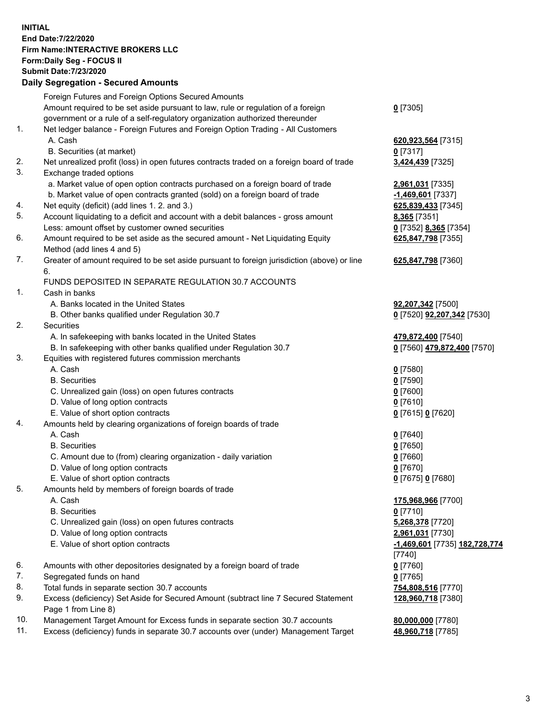**INITIAL End Date:7/22/2020 Firm Name:INTERACTIVE BROKERS LLC Form:Daily Seg - FOCUS II Submit Date:7/23/2020 Daily Segregation - Secured Amounts**

|                | Dany Ocgregation - Occarea Amounte                                                          |                                             |
|----------------|---------------------------------------------------------------------------------------------|---------------------------------------------|
|                | Foreign Futures and Foreign Options Secured Amounts                                         |                                             |
|                | Amount required to be set aside pursuant to law, rule or regulation of a foreign            | $0$ [7305]                                  |
|                | government or a rule of a self-regulatory organization authorized thereunder                |                                             |
| $\mathbf{1}$ . | Net ledger balance - Foreign Futures and Foreign Option Trading - All Customers             |                                             |
|                | A. Cash                                                                                     | 620,923,564 [7315]                          |
|                | B. Securities (at market)                                                                   | $0$ [7317]                                  |
| 2.             | Net unrealized profit (loss) in open futures contracts traded on a foreign board of trade   | 3,424,439 [7325]                            |
| 3.             | Exchange traded options                                                                     |                                             |
|                | a. Market value of open option contracts purchased on a foreign board of trade              | 2,961,031 [7335]                            |
|                | b. Market value of open contracts granted (sold) on a foreign board of trade                | <u>-1,469,601</u> [7337]                    |
| 4.             | Net equity (deficit) (add lines 1. 2. and 3.)                                               | 625,839,433 [7345]                          |
| 5.             | Account liquidating to a deficit and account with a debit balances - gross amount           | 8,365 [7351]                                |
|                | Less: amount offset by customer owned securities                                            | 0 [7352] 8,365 [7354]                       |
| 6.             | Amount required to be set aside as the secured amount - Net Liquidating Equity              | 625,847,798 [7355]                          |
|                | Method (add lines 4 and 5)                                                                  |                                             |
| 7.             | Greater of amount required to be set aside pursuant to foreign jurisdiction (above) or line | 625,847,798 [7360]                          |
|                | 6.                                                                                          |                                             |
|                | FUNDS DEPOSITED IN SEPARATE REGULATION 30.7 ACCOUNTS                                        |                                             |
| $\mathbf{1}$ . | Cash in banks                                                                               |                                             |
|                | A. Banks located in the United States                                                       | 92,207,342 [7500]                           |
|                | B. Other banks qualified under Regulation 30.7                                              | 0 [7520] 92,207,342 [7530]                  |
| 2.             | Securities                                                                                  |                                             |
|                | A. In safekeeping with banks located in the United States                                   | 479,872,400 [7540]                          |
|                | B. In safekeeping with other banks qualified under Regulation 30.7                          | 0 [7560] 479,872,400 [7570]                 |
| 3.             | Equities with registered futures commission merchants                                       |                                             |
|                | A. Cash                                                                                     | $0$ [7580]                                  |
|                | <b>B.</b> Securities                                                                        | $0$ [7590]                                  |
|                | C. Unrealized gain (loss) on open futures contracts                                         | $0$ [7600]                                  |
|                | D. Value of long option contracts                                                           | $0$ [7610]                                  |
|                | E. Value of short option contracts                                                          | 0 [7615] 0 [7620]                           |
| 4.             | Amounts held by clearing organizations of foreign boards of trade                           |                                             |
|                | A. Cash                                                                                     | $0$ [7640]                                  |
|                | <b>B.</b> Securities                                                                        | $0$ [7650]                                  |
|                | C. Amount due to (from) clearing organization - daily variation                             | $0$ [7660]                                  |
|                | D. Value of long option contracts                                                           | $0$ [7670]                                  |
|                | E. Value of short option contracts                                                          | 0 [7675] 0 [7680]                           |
| 5.             | Amounts held by members of foreign boards of trade                                          |                                             |
|                | A. Cash                                                                                     | 175,968,966 [7700]                          |
|                | <b>B.</b> Securities                                                                        | $0$ [7710]                                  |
|                | C. Unrealized gain (loss) on open futures contracts                                         | 5,268,378 [7720]                            |
|                | D. Value of long option contracts                                                           | 2,961,031 [7730]                            |
|                | E. Value of short option contracts                                                          | <u>-1,469,601</u> [7735] <u>182,728,774</u> |
|                |                                                                                             | [7740]                                      |
| 6.             | Amounts with other depositories designated by a foreign board of trade                      | $0$ [7760]                                  |
| 7.             | Segregated funds on hand                                                                    | $0$ [7765]                                  |
| 8.             | Total funds in separate section 30.7 accounts                                               | 754,808,516 [7770]                          |
| 9.             | Excess (deficiency) Set Aside for Secured Amount (subtract line 7 Secured Statement         | 128,960,718 [7380]                          |
|                | Page 1 from Line 8)                                                                         |                                             |
| 10.            | Management Target Amount for Excess funds in separate section 30.7 accounts                 | 80,000,000 [7780]                           |
| 11.            | Excess (deficiency) funds in separate 30.7 accounts over (under) Management Target          | 48,960,718 [7785]                           |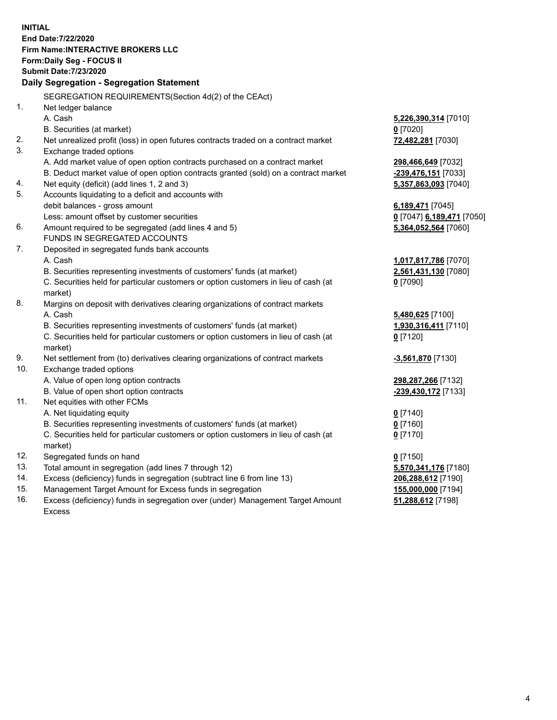**INITIAL End Date:7/22/2020 Firm Name:INTERACTIVE BROKERS LLC Form:Daily Seg - FOCUS II Submit Date:7/23/2020 Daily Segregation - Segregation Statement** SEGREGATION REQUIREMENTS(Section 4d(2) of the CEAct) 1. Net ledger balance A. Cash **5,226,390,314** [7010] B. Securities (at market) **0** [7020] 2. Net unrealized profit (loss) in open futures contracts traded on a contract market **72,482,281** [7030] 3. Exchange traded options A. Add market value of open option contracts purchased on a contract market **298,466,649** [7032] B. Deduct market value of open option contracts granted (sold) on a contract market **-239,476,151** [7033] 4. Net equity (deficit) (add lines 1, 2 and 3) **5,357,863,093** [7040] 5. Accounts liquidating to a deficit and accounts with debit balances - gross amount **6,189,471** [7045] Less: amount offset by customer securities **0** [7047] **6,189,471** [7050] 6. Amount required to be segregated (add lines 4 and 5) **5,364,052,564** [7060] FUNDS IN SEGREGATED ACCOUNTS 7. Deposited in segregated funds bank accounts A. Cash **1,017,817,786** [7070] B. Securities representing investments of customers' funds (at market) **2,561,431,130** [7080] C. Securities held for particular customers or option customers in lieu of cash (at market) **0** [7090] 8. Margins on deposit with derivatives clearing organizations of contract markets A. Cash **5,480,625** [7100] B. Securities representing investments of customers' funds (at market) **1,930,316,411** [7110] C. Securities held for particular customers or option customers in lieu of cash (at market) **0** [7120] 9. Net settlement from (to) derivatives clearing organizations of contract markets **-3,561,870** [7130] 10. Exchange traded options A. Value of open long option contracts **298,287,266** [7132] B. Value of open short option contracts **-239,430,172** [7133] 11. Net equities with other FCMs A. Net liquidating equity **0** [7140] B. Securities representing investments of customers' funds (at market) **0** [7160] C. Securities held for particular customers or option customers in lieu of cash (at market) **0** [7170] 12. Segregated funds on hand **0** [7150] 13. Total amount in segregation (add lines 7 through 12) **5,570,341,176** [7180] 14. Excess (deficiency) funds in segregation (subtract line 6 from line 13) **206,288,612** [7190] 15. Management Target Amount for Excess funds in segregation **155,000,000** [7194] **51,288,612** [7198]

16. Excess (deficiency) funds in segregation over (under) Management Target Amount Excess